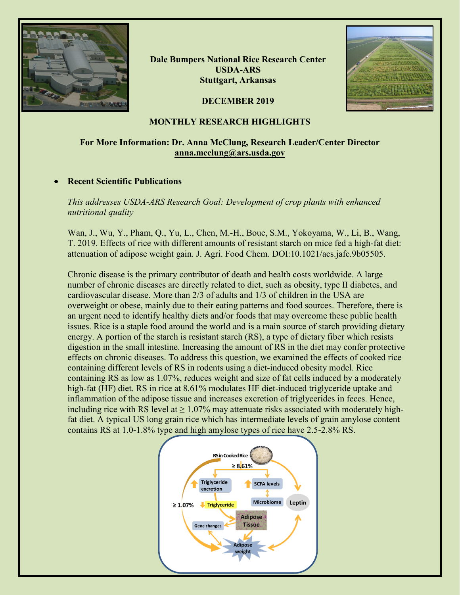

**Dale Bumpers National Rice Research Center USDA-ARS Stuttgart, Arkansas**



### **DECEMBER 2019**

### **MONTHLY RESEARCH HIGHLIGHTS**

## **For More Information: Dr. Anna McClung, Research Leader/Center Director [anna.mcclung@ars.usda.gov](mailto:anna.mcclung@ars.usda.gov)**

### • **Recent Scientific Publications**

*This addresses USDA-ARS Research Goal: Development of crop plants with enhanced nutritional quality*

Wan, J., Wu, Y., Pham, Q., Yu, L., Chen, M.-H., Boue, S.M., Yokoyama, W., Li, B., Wang, T. 2019. Effects of rice with different amounts of resistant starch on mice fed a high-fat diet: attenuation of adipose weight gain. J. Agri. Food Chem. DOI:10.1021/acs.jafc.9b05505.

Chronic disease is the primary contributor of death and health costs worldwide. A large number of chronic diseases are directly related to diet, such as obesity, type Ⅱ diabetes, and cardiovascular disease. More than 2/3 of adults and 1/3 of children in the USA are overweight or obese, mainly due to their eating patterns and food sources. Therefore, there is an urgent need to identify healthy diets and/or foods that may overcome these public health issues. Rice is a staple food around the world and is a main source of starch providing dietary energy. A portion of the starch is resistant starch (RS), a type of dietary fiber which resists digestion in the small intestine. Increasing the amount of RS in the diet may confer protective effects on chronic diseases. To address this question, we examined the effects of cooked rice containing different levels of RS in rodents using a diet-induced obesity model. Rice containing RS as low as 1.07%, reduces weight and size of fat cells induced by a moderately high-fat (HF) diet. RS in rice at 8.61% modulates HF diet-induced triglyceride uptake and inflammation of the adipose tissue and increases excretion of triglycerides in feces. Hence, including rice with RS level at  $\geq 1.07\%$  may attenuate risks associated with moderately highfat diet. A typical US long grain rice which has intermediate levels of grain amylose content contains RS at 1.0-1.8% type and high amylose types of rice have 2.5-2.8% RS.

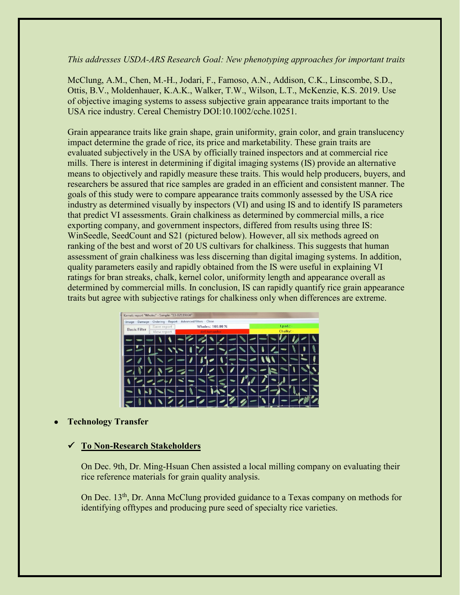## *This addresses USDA-ARS Research Goal: New phenotyping approaches for important traits*

McClung, A.M., Chen, M.-H., Jodari, F., Famoso, A.N., Addison, C.K., Linscombe, S.D., Ottis, B.V., Moldenhauer, K.A.K., Walker, T.W., Wilson, L.T., McKenzie, K.S. 2019. Use of objective imaging systems to assess subjective grain appearance traits important to the USA rice industry. Cereal Chemistry DOI:10.1002/cche.10251.

Grain appearance traits like grain shape, grain uniformity, grain color, and grain translucency impact determine the grade of rice, its price and marketability. These grain traits are evaluated subjectively in the USA by officially trained inspectors and at commercial rice mills. There is interest in determining if digital imaging systems (IS) provide an alternative means to objectively and rapidly measure these traits. This would help producers, buyers, and researchers be assured that rice samples are graded in an efficient and consistent manner. The goals of this study were to compare appearance traits commonly assessed by the USA rice industry as determined visually by inspectors (VI) and using IS and to identify IS parameters that predict VI assessments. Grain chalkiness as determined by commercial mills, a rice exporting company, and government inspectors, differed from results using three IS: WinSeedle, SeedCount and S21 (pictured below). However, all six methods agreed on ranking of the best and worst of 20 US cultivars for chalkiness. This suggests that human assessment of grain chalkiness was less discerning than digital imaging systems. In addition, quality parameters easily and rapidly obtained from the IS were useful in explaining VI ratings for bran streaks, chalk, kernel color, uniformity length and appearance overall as determined by commercial mills. In conclusion, IS can rapidly quantify rice grain appearance traits but agree with subjective ratings for chalkiness only when differences are extreme.

| Image<br>Damage     | Ordering Report Advanced filters Close |  |                  |  |  |  |  |  |  |            |  |  |  |  |  |  |
|---------------------|----------------------------------------|--|------------------|--|--|--|--|--|--|------------|--|--|--|--|--|--|
| <b>Basic Filter</b> | Save report                            |  | Wholes: 100.00 % |  |  |  |  |  |  | $f.pad.$ : |  |  |  |  |  |  |
|                     | View report                            |  | def.tamanho:     |  |  |  |  |  |  | Chalky: -  |  |  |  |  |  |  |
|                     |                                        |  |                  |  |  |  |  |  |  |            |  |  |  |  |  |  |
|                     |                                        |  |                  |  |  |  |  |  |  |            |  |  |  |  |  |  |
|                     |                                        |  |                  |  |  |  |  |  |  |            |  |  |  |  |  |  |
|                     |                                        |  |                  |  |  |  |  |  |  |            |  |  |  |  |  |  |
|                     |                                        |  |                  |  |  |  |  |  |  |            |  |  |  |  |  |  |
|                     |                                        |  |                  |  |  |  |  |  |  |            |  |  |  |  |  |  |
|                     |                                        |  |                  |  |  |  |  |  |  |            |  |  |  |  |  |  |

# • **Technology Transfer**

# **To Non-Research Stakeholders**

On Dec. 9th, Dr. Ming-Hsuan Chen assisted a local milling company on evaluating their rice reference materials for grain quality analysis.

On Dec.  $13<sup>th</sup>$ , Dr. Anna McClung provided guidance to a Texas company on methods for identifying offtypes and producing pure seed of specialty rice varieties.